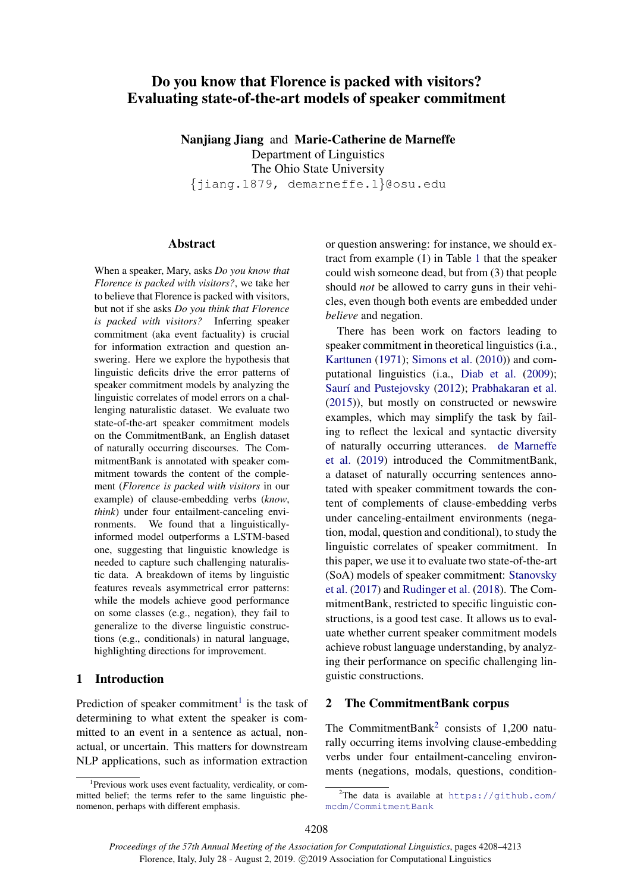# Do you know that Florence is packed with visitors? Evaluating state-of-the-art models of speaker commitment

Nanjiang Jiang and Marie-Catherine de Marneffe Department of Linguistics The Ohio State University {jiang.1879, demarneffe.1}@osu.edu

### **Abstract**

When a speaker, Mary, asks *Do you know that Florence is packed with visitors?*, we take her to believe that Florence is packed with visitors, but not if she asks *Do you think that Florence is packed with visitors?* Inferring speaker commitment (aka event factuality) is crucial for information extraction and question answering. Here we explore the hypothesis that linguistic deficits drive the error patterns of speaker commitment models by analyzing the linguistic correlates of model errors on a challenging naturalistic dataset. We evaluate two state-of-the-art speaker commitment models on the CommitmentBank, an English dataset of naturally occurring discourses. The CommitmentBank is annotated with speaker commitment towards the content of the complement (*Florence is packed with visitors* in our example) of clause-embedding verbs (*know*, *think*) under four entailment-canceling environments. We found that a linguisticallyinformed model outperforms a LSTM-based one, suggesting that linguistic knowledge is needed to capture such challenging naturalistic data. A breakdown of items by linguistic features reveals asymmetrical error patterns: while the models achieve good performance on some classes (e.g., negation), they fail to generalize to the diverse linguistic constructions (e.g., conditionals) in natural language, highlighting directions for improvement.

## 1 Introduction

Prediction of speaker commitment<sup>[1](#page-0-0)</sup> is the task of determining to what extent the speaker is committed to an event in a sentence as actual, nonactual, or uncertain. This matters for downstream NLP applications, such as information extraction

or question answering: for instance, we should extract from example (1) in Table [1](#page-1-0) that the speaker could wish someone dead, but from (3) that people should *not* be allowed to carry guns in their vehicles, even though both events are embedded under *believe* and negation.

There has been work on factors leading to speaker commitment in theoretical linguistics (i.a., [Karttunen](#page-5-0) [\(1971\)](#page-5-0); [Simons et al.](#page-5-1) [\(2010\)](#page-5-1)) and computational linguistics (i.a., [Diab et al.](#page-4-0) [\(2009\)](#page-4-0); Saurí and Pustejovsky [\(2012\)](#page-5-2); [Prabhakaran et al.](#page-5-3) [\(2015\)](#page-5-3)), but mostly on constructed or newswire examples, which may simplify the task by failing to reflect the lexical and syntactic diversity of naturally occurring utterances. [de Marneffe](#page-5-4) [et al.](#page-5-4) [\(2019\)](#page-5-4) introduced the CommitmentBank, a dataset of naturally occurring sentences annotated with speaker commitment towards the content of complements of clause-embedding verbs under canceling-entailment environments (negation, modal, question and conditional), to study the linguistic correlates of speaker commitment. In this paper, we use it to evaluate two state-of-the-art (SoA) models of speaker commitment: [Stanovsky](#page-5-5) [et al.](#page-5-5) [\(2017\)](#page-5-5) and [Rudinger et al.](#page-5-6) [\(2018\)](#page-5-6). The CommitmentBank, restricted to specific linguistic constructions, is a good test case. It allows us to evaluate whether current speaker commitment models achieve robust language understanding, by analyzing their performance on specific challenging linguistic constructions.

## 2 The CommitmentBank corpus

The CommitmentBank<sup>[2](#page-0-1)</sup> consists of 1,200 naturally occurring items involving clause-embedding verbs under four entailment-canceling environments (negations, modals, questions, condition-

<span id="page-0-0"></span><sup>1</sup> Previous work uses event factuality, verdicality, or committed belief; the terms refer to the same linguistic phenomenon, perhaps with different emphasis.

<span id="page-0-1"></span><sup>&</sup>lt;sup>2</sup>The data is available at  $https://github.com/$ [mcdm/CommitmentBank](https://github.com/mcdm/CommitmentBank)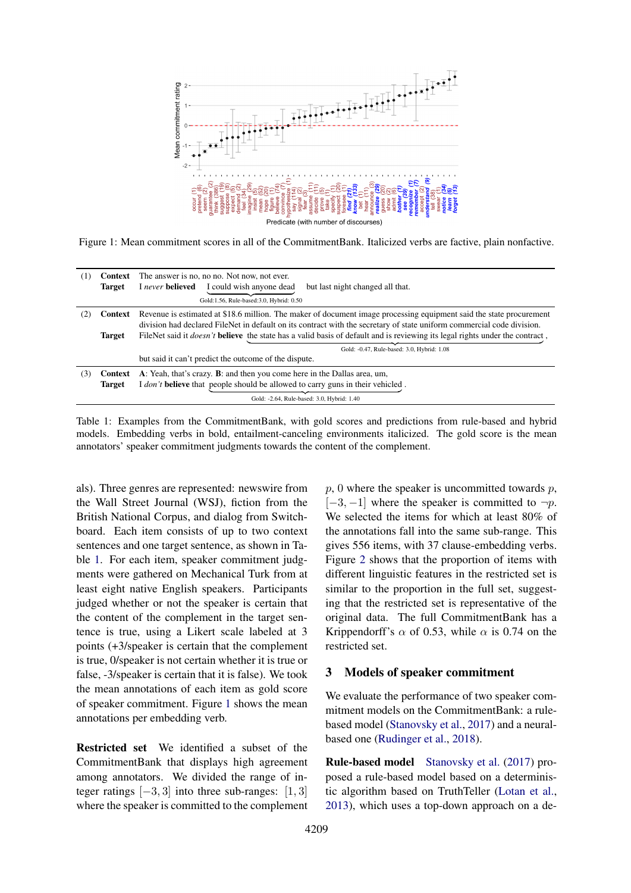<span id="page-1-1"></span>

Figure 1: Mean commitment scores in all of the CommitmentBank. Italicized verbs are factive, plain nonfactive.

<span id="page-1-0"></span>

| (1) | Context       | The answer is no, no no. Not now, not ever.                                                                                                |  |  |  |
|-----|---------------|--------------------------------------------------------------------------------------------------------------------------------------------|--|--|--|
|     | <b>Target</b> | I could wish anyone dead<br>I never believed<br>but last night changed all that.                                                           |  |  |  |
|     |               | Gold:1.56, Rule-based:3.0, Hybrid: 0.50                                                                                                    |  |  |  |
| (Z' | Context       | Revenue is estimated at \$18.6 million. The maker of document image processing equipment said the state procurement                        |  |  |  |
|     |               | division had declared FileNet in default on its contract with the secretary of state uniform commercial code division.                     |  |  |  |
|     | <b>Target</b> | FileNet said it <i>doesn't</i> <b>believe</b> the state has a valid basis of default and is reviewing its legal rights under the contract, |  |  |  |
|     |               | Gold: -0.47, Rule-based: 3.0, Hybrid: 1.08                                                                                                 |  |  |  |
|     |               | but said it can't predict the outcome of the dispute.                                                                                      |  |  |  |
| (3) | Context       | A: Yeah, that's crazy. <b>B</b> : and then you come here in the Dallas area, um,                                                           |  |  |  |
|     | <b>Target</b> | I don't <b>believe</b> that people should be allowed to carry guns in their vehicled.                                                      |  |  |  |
|     |               | Gold: -2.64, Rule-based: 3.0, Hybrid: 1.40                                                                                                 |  |  |  |

Table 1: Examples from the CommitmentBank, with gold scores and predictions from rule-based and hybrid models. Embedding verbs in bold, entailment-canceling environments italicized. The gold score is the mean annotators' speaker commitment judgments towards the content of the complement.

als). Three genres are represented: newswire from the Wall Street Journal (WSJ), fiction from the British National Corpus, and dialog from Switchboard. Each item consists of up to two context sentences and one target sentence, as shown in Table [1.](#page-1-0) For each item, speaker commitment judgments were gathered on Mechanical Turk from at least eight native English speakers. Participants judged whether or not the speaker is certain that the content of the complement in the target sentence is true, using a Likert scale labeled at 3 points (+3/speaker is certain that the complement is true, 0/speaker is not certain whether it is true or false, -3/speaker is certain that it is false). We took the mean annotations of each item as gold score of speaker commitment. Figure [1](#page-1-1) shows the mean annotations per embedding verb.

Restricted set We identified a subset of the CommitmentBank that displays high agreement among annotators. We divided the range of integer ratings  $[-3, 3]$  into three sub-ranges:  $[1, 3]$ where the speaker is committed to the complement

 $p$ , 0 where the speaker is uncommitted towards  $p$ ,  $[-3, -1]$  where the speaker is committed to  $\neg p$ . We selected the items for which at least 80% of the annotations fall into the same sub-range. This gives 556 items, with 37 clause-embedding verbs. Figure [2](#page-2-0) shows that the proportion of items with different linguistic features in the restricted set is similar to the proportion in the full set, suggesting that the restricted set is representative of the original data. The full CommitmentBank has a Krippendorff's  $\alpha$  of 0.53, while  $\alpha$  is 0.74 on the restricted set.

#### 3 Models of speaker commitment

We evaluate the performance of two speaker commitment models on the CommitmentBank: a rulebased model [\(Stanovsky et al.,](#page-5-5) [2017\)](#page-5-5) and a neuralbased one [\(Rudinger et al.,](#page-5-6) [2018\)](#page-5-6).

Rule-based model [Stanovsky et al.](#page-5-5) [\(2017\)](#page-5-5) proposed a rule-based model based on a deterministic algorithm based on TruthTeller [\(Lotan et al.,](#page-5-7) [2013\)](#page-5-7), which uses a top-down approach on a de-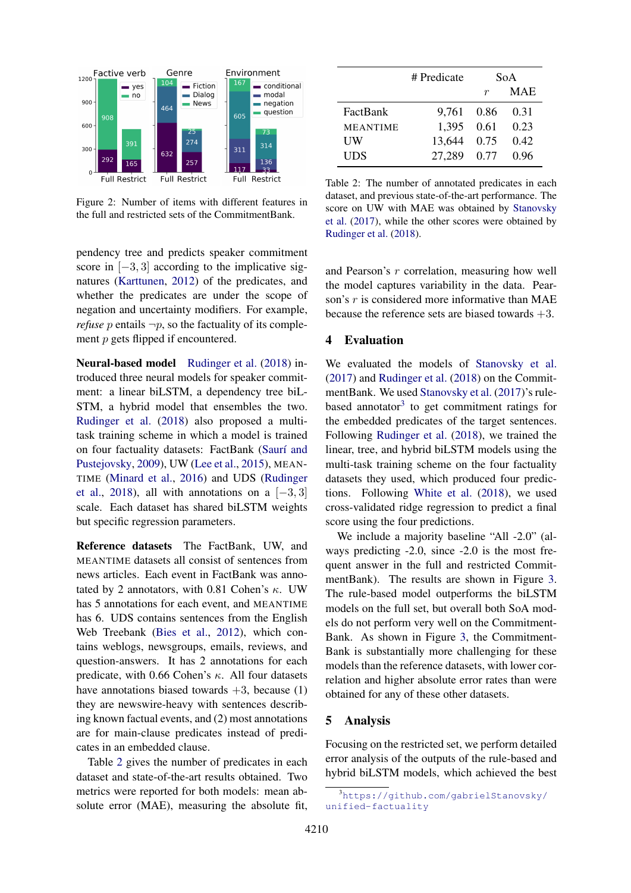<span id="page-2-0"></span>

Figure 2: Number of items with different features in the full and restricted sets of the CommitmentBank.

pendency tree and predicts speaker commitment score in  $[-3, 3]$  according to the implicative signatures [\(Karttunen,](#page-5-8) [2012\)](#page-5-8) of the predicates, and whether the predicates are under the scope of negation and uncertainty modifiers. For example, *refuse* p entails  $\neg p$ , so the factuality of its complement *p* gets flipped if encountered.

Neural-based model [Rudinger et al.](#page-5-6) [\(2018\)](#page-5-6) introduced three neural models for speaker commitment: a linear biLSTM, a dependency tree biL-STM, a hybrid model that ensembles the two. [Rudinger et al.](#page-5-6) [\(2018\)](#page-5-6) also proposed a multitask training scheme in which a model is trained on four factuality datasets: FactBank (Saurí and [Pustejovsky,](#page-5-9) [2009\)](#page-5-9), UW [\(Lee et al.,](#page-5-10) [2015\)](#page-5-10), MEAN-TIME [\(Minard et al.,](#page-5-11) [2016\)](#page-5-11) and UDS [\(Rudinger](#page-5-6) [et al.,](#page-5-6) [2018\)](#page-5-6), all with annotations on a  $[-3, 3]$ scale. Each dataset has shared biLSTM weights but specific regression parameters.

Reference datasets The FactBank, UW, and MEANTIME datasets all consist of sentences from news articles. Each event in FactBank was annotated by 2 annotators, with 0.81 Cohen's  $\kappa$ . UW has 5 annotations for each event, and MEANTIME has 6. UDS contains sentences from the English Web Treebank [\(Bies et al.,](#page-4-1) [2012\)](#page-4-1), which contains weblogs, newsgroups, emails, reviews, and question-answers. It has 2 annotations for each predicate, with 0.66 Cohen's  $\kappa$ . All four datasets have annotations biased towards  $+3$ , because (1) they are newswire-heavy with sentences describing known factual events, and (2) most annotations are for main-clause predicates instead of predicates in an embedded clause.

Table [2](#page-2-1) gives the number of predicates in each dataset and state-of-the-art results obtained. Two metrics were reported for both models: mean absolute error (MAE), measuring the absolute fit,

<span id="page-2-1"></span>

|                 | # Predicate | SoA  |            |
|-----------------|-------------|------|------------|
|                 |             | r    | <b>MAE</b> |
| FactBank        | 9.761 0.86  |      | 0.31       |
| <b>MEANTIME</b> | 1.395       | 0.61 | 0.23       |
| UW              | 13.644      | 0.75 | 0.42       |
| UDS             | 27.289      | 0.77 | 0.96       |

Table 2: The number of annotated predicates in each dataset, and previous state-of-the-art performance. The score on UW with MAE was obtained by [Stanovsky](#page-5-5) [et al.](#page-5-5) [\(2017\)](#page-5-5), while the other scores were obtained by [Rudinger et al.](#page-5-6) [\(2018\)](#page-5-6).

and Pearson's r correlation, measuring how well the model captures variability in the data. Pearson's r is considered more informative than MAE because the reference sets are biased towards  $+3$ .

#### 4 Evaluation

We evaluated the models of [Stanovsky et al.](#page-5-5) [\(2017\)](#page-5-5) and [Rudinger et al.](#page-5-6) [\(2018\)](#page-5-6) on the CommitmentBank. We used [Stanovsky et al.](#page-5-5) [\(2017\)](#page-5-5)'s rule-based annotator<sup>[3](#page-2-2)</sup> to get commitment ratings for the embedded predicates of the target sentences. Following [Rudinger et al.](#page-5-6) [\(2018\)](#page-5-6), we trained the linear, tree, and hybrid biLSTM models using the multi-task training scheme on the four factuality datasets they used, which produced four predictions. Following [White et al.](#page-5-12) [\(2018\)](#page-5-12), we used cross-validated ridge regression to predict a final score using the four predictions.

We include a majority baseline "All -2.0" (always predicting -2.0, since -2.0 is the most frequent answer in the full and restricted CommitmentBank). The results are shown in Figure [3.](#page-3-0) The rule-based model outperforms the biLSTM models on the full set, but overall both SoA models do not perform very well on the Commitment-Bank. As shown in Figure [3,](#page-3-0) the Commitment-Bank is substantially more challenging for these models than the reference datasets, with lower correlation and higher absolute error rates than were obtained for any of these other datasets.

#### 5 Analysis

Focusing on the restricted set, we perform detailed error analysis of the outputs of the rule-based and hybrid biLSTM models, which achieved the best

<span id="page-2-2"></span><sup>3</sup>[https://github.com/gabrielStanovsky/](https://github.com/gabrielStanovsky/unified-factuality) [unified-factuality](https://github.com/gabrielStanovsky/unified-factuality)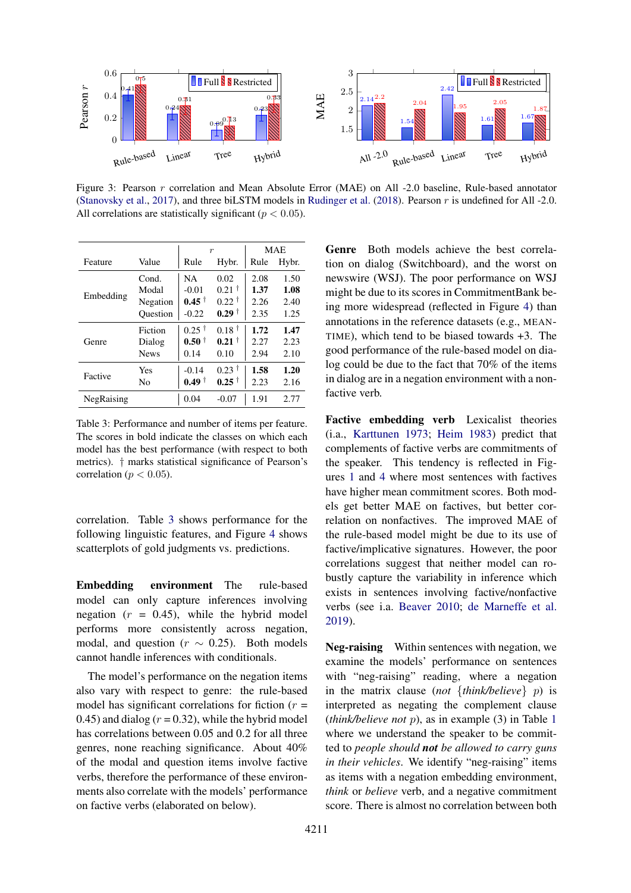<span id="page-3-0"></span>

Figure 3: Pearson r correlation and Mean Absolute Error (MAE) on All -2.0 baseline, Rule-based annotator [\(Stanovsky et al.,](#page-5-5) [2017\)](#page-5-5), and three biLSTM models in [Rudinger et al.](#page-5-6) [\(2018\)](#page-5-6). Pearson r is undefined for All -2.0. All correlations are statistically significant ( $p < 0.05$ ).

<span id="page-3-1"></span>

|            |             | $\boldsymbol{r}$       |                     | <b>MAE</b> |       |
|------------|-------------|------------------------|---------------------|------------|-------|
| Feature    | Value       | Rule                   | Hybr.               | Rule       | Hybr. |
|            | Cond.       | NA.                    | 0.02                | 2.08       | 1.50  |
|            | Modal       | $-0.01$                | $0.21$ <sup>†</sup> | 1.37       | 1.08  |
| Embedding  | Negation    | $0.45^{\dagger}$       | $0.22^{\dagger}$    | 2.26       | 2.40  |
|            | Ouestion    | $-0.22$                | $0.29$ <sup>†</sup> | 2.35       | 1.25  |
|            | Fiction     | $0.25$ <sup>†</sup>    | $0.18^{\dagger}$    | 1.72       | 1.47  |
| Genre      | Dialog      | $0.50 \;$ <sup>†</sup> | $0.21$ <sup>†</sup> | 2.27       | 2.23  |
|            | <b>News</b> | 0.14                   | 0.10                | 2.94       | 2.10  |
| Factive    | Yes         | $-0.14$                | $0.23$ <sup>†</sup> | 1.58       | 1.20  |
|            | No          | $0.49^+$               | $0.25$ <sup>†</sup> | 2.23       | 2.16  |
| NegRaising |             | 0.04                   | $-0.07$             | 1.91       | 2.77  |

Table 3: Performance and number of items per feature. The scores in bold indicate the classes on which each model has the best performance (with respect to both metrics). † marks statistical significance of Pearson's correlation ( $p < 0.05$ ).

correlation. Table [3](#page-3-1) shows performance for the following linguistic features, and Figure [4](#page-4-2) shows scatterplots of gold judgments vs. predictions.

Embedding environment The rule-based model can only capture inferences involving negation  $(r = 0.45)$ , while the hybrid model performs more consistently across negation, modal, and question ( $r \sim 0.25$ ). Both models cannot handle inferences with conditionals.

The model's performance on the negation items also vary with respect to genre: the rule-based model has significant correlations for fiction  $(r =$ 0.45) and dialog ( $r = 0.32$ ), while the hybrid model has correlations between 0.05 and 0.2 for all three genres, none reaching significance. About 40% of the modal and question items involve factive verbs, therefore the performance of these environments also correlate with the models' performance on factive verbs (elaborated on below).

Genre Both models achieve the best correlation on dialog (Switchboard), and the worst on newswire (WSJ). The poor performance on WSJ might be due to its scores in CommitmentBank being more widespread (reflected in Figure [4\)](#page-4-2) than annotations in the reference datasets (e.g., MEAN-TIME), which tend to be biased towards +3. The good performance of the rule-based model on dialog could be due to the fact that 70% of the items in dialog are in a negation environment with a nonfactive verb.

Factive embedding verb Lexicalist theories (i.a., [Karttunen](#page-5-13) [1973;](#page-5-13) [Heim](#page-4-3) [1983\)](#page-4-3) predict that complements of factive verbs are commitments of the speaker. This tendency is reflected in Figures [1](#page-1-1) and [4](#page-4-2) where most sentences with factives have higher mean commitment scores. Both models get better MAE on factives, but better correlation on nonfactives. The improved MAE of the rule-based model might be due to its use of factive/implicative signatures. However, the poor correlations suggest that neither model can robustly capture the variability in inference which exists in sentences involving factive/nonfactive verbs (see i.a. [Beaver](#page-4-4) [2010;](#page-4-4) [de Marneffe et al.](#page-5-4) [2019\)](#page-5-4).

Neg-raising Within sentences with negation, we examine the models' performance on sentences with "neg-raising" reading, where a negation in the matrix clause (*not* {*think/believe*} p) is interpreted as negating the complement clause (*think/believe not* p), as in example (3) in Table [1](#page-1-0) where we understand the speaker to be committed to *people should not be allowed to carry guns in their vehicles*. We identify "neg-raising" items as items with a negation embedding environment, *think* or *believe* verb, and a negative commitment score. There is almost no correlation between both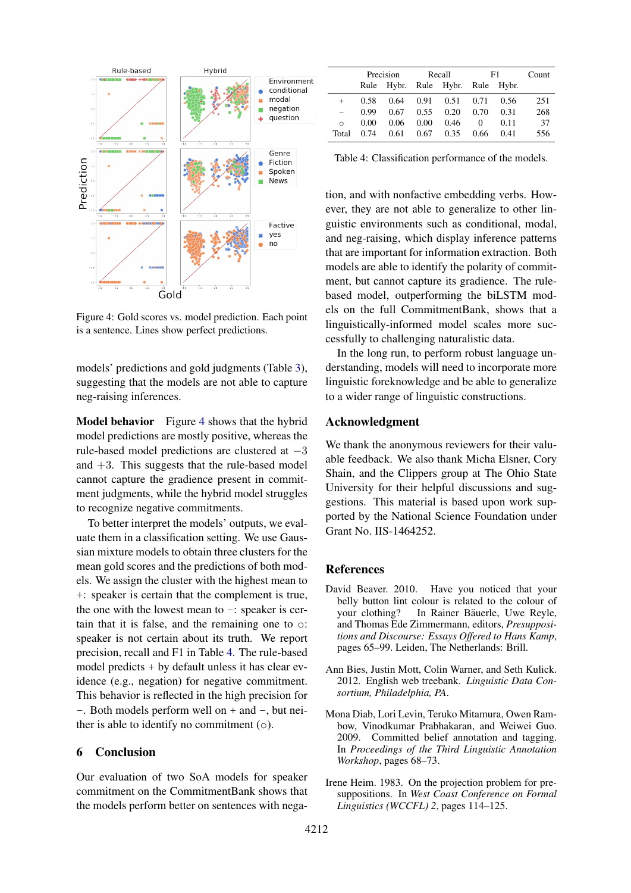<span id="page-4-2"></span>

Figure 4: Gold scores vs. model prediction. Each point is a sentence. Lines show perfect predictions.

models' predictions and gold judgments (Table [3\)](#page-3-1), suggesting that the models are not able to capture neg-raising inferences.

Model behavior Figure [4](#page-4-2) shows that the hybrid model predictions are mostly positive, whereas the rule-based model predictions are clustered at −3 and  $+3$ . This suggests that the rule-based model cannot capture the gradience present in commitment judgments, while the hybrid model struggles to recognize negative commitments.

To better interpret the models' outputs, we evaluate them in a classification setting. We use Gaussian mixture models to obtain three clusters for the mean gold scores and the predictions of both models. We assign the cluster with the highest mean to +: speaker is certain that the complement is true, the one with the lowest mean to  $-$ : speaker is certain that it is false, and the remaining one to o: speaker is not certain about its truth. We report precision, recall and F1 in Table [4.](#page-4-5) The rule-based model predicts + by default unless it has clear evidence (e.g., negation) for negative commitment. This behavior is reflected in the high precision for  $-$ . Both models perform well on  $+$  and  $-$ , but neither is able to identify no commitment (o).

#### 6 Conclusion

Our evaluation of two SoA models for speaker commitment on the CommitmentBank shows that the models perform better on sentences with nega-

<span id="page-4-5"></span>

|         | Precision |                                  | Recall |      | F1       |      | Count |
|---------|-----------|----------------------------------|--------|------|----------|------|-------|
|         |           | Rule Hybr. Rule Hybr. Rule Hybr. |        |      |          |      |       |
| $^{+}$  | 0.58      | 0.64                             | 0.91   | 0.51 | 0.71     | 0.56 | 251   |
|         | 0.99      | 0.67                             | 0.55   | 0.20 | 0.70     | 0.31 | 268   |
| $\circ$ | 0.00      | 0.06                             | 0.00   | 0.46 | $\theta$ | 0.11 | 37    |
| Total   | 0.74      | 0.61                             | 0.67   | 0.35 | 0.66     | 0.41 | 556   |

Table 4: Classification performance of the models.

tion, and with nonfactive embedding verbs. However, they are not able to generalize to other linguistic environments such as conditional, modal, and neg-raising, which display inference patterns that are important for information extraction. Both models are able to identify the polarity of commitment, but cannot capture its gradience. The rulebased model, outperforming the biLSTM models on the full CommitmentBank, shows that a linguistically-informed model scales more successfully to challenging naturalistic data.

In the long run, to perform robust language understanding, models will need to incorporate more linguistic foreknowledge and be able to generalize to a wider range of linguistic constructions.

#### Acknowledgment

We thank the anonymous reviewers for their valuable feedback. We also thank Micha Elsner, Cory Shain, and the Clippers group at The Ohio State University for their helpful discussions and suggestions. This material is based upon work supported by the National Science Foundation under Grant No. IIS-1464252.

#### References

- <span id="page-4-4"></span>David Beaver. 2010. Have you noticed that your belly button lint colour is related to the colour of your clothing? In Rainer Bäuerle, Uwe Reyle, and Thomas Ede Zimmermann, editors, *Presuppositions and Discourse: Essays Offered to Hans Kamp*, pages 65–99. Leiden, The Netherlands: Brill.
- <span id="page-4-1"></span>Ann Bies, Justin Mott, Colin Warner, and Seth Kulick. 2012. English web treebank. *Linguistic Data Consortium, Philadelphia, PA*.
- <span id="page-4-0"></span>Mona Diab, Lori Levin, Teruko Mitamura, Owen Rambow, Vinodkumar Prabhakaran, and Weiwei Guo. 2009. Committed belief annotation and tagging. In *Proceedings of the Third Linguistic Annotation Workshop*, pages 68–73.
- <span id="page-4-3"></span>Irene Heim. 1983. On the projection problem for presuppositions. In *West Coast Conference on Formal Linguistics (WCCFL) 2*, pages 114–125.